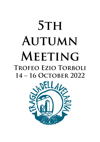# **STH** AUTUMN MEETING TROFEO EZIO TORBOLI 14 – 16 OCTOBER 2022

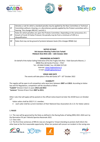





| , SP      | Denotes a rule for which a standard penalty may be applied by the Race Committee or Technical<br>Committee without a hearing, or a discretionary penalty applied by the Protest committee with a<br>hearing. This changes RRS 63.1 and A5.1; |
|-----------|----------------------------------------------------------------------------------------------------------------------------------------------------------------------------------------------------------------------------------------------|
| <b>DP</b> | Rules for which penalties are upon the Protests Committee. Depending on the seriousness of a<br>breach of Covid-19 Italian Protocol, the penalty may be from a minimum of 10% to a<br>disqualification.                                      |
| NP        | Rules that may not be ground of protests between boats (this changes RRS60.1(a)                                                                                                                                                              |

## **NOTICE OF RACE 5th Autumn Meeting Trofeo Ezio Torboli FRAGLIA VELA RIVA 14th – 16th October 2022**

## **ORGANIZING AUTHORITY**

On behalf of the Italian Sailing Federation (FIV) the Fraglia Vela Riva - Viale Giancarlo Maroni, 2 38066 Riva del Garda (Trento) – ITALY

Tel. +39 0464 552460 Fax +39 0464 557120

Internet[: www.fragliavelariva.it](http://www.fragliavelariva.it/) E-mail[: info@fragliavelariva.it](mailto:info@fragliavelariva.it)

# **VENUE AND DATE**

The events will take place in Riva del Garda 14<sup>th</sup> – 16<sup>th</sup> October 2022

# **ELIGIBILITY**

The regatta will be open to all competitors who were born between **2007** and **2013**. According to Italian law and FIV Regulations, competitors will be classified as follow:

**"Cadetti"** Division A born in years **2012 and 2013**

"**Juniores**" Division B born from **2007 to 2011**;

Other rules that will apply will be posted on the official notice board not later the 20:00 hours on October  $13<sup>th</sup>$ .

Italian sailors shall be 2022 F.I.V. member;

• each sailor shall be current members of their National Class Association (A.I.C.O. for Italian sailors)

# **1. RULES**

1.1 The race will be governed by the Rules as defined in the Racing Rules of Sailing (RRS) 2021-2024 and by the Normativa FIV per l'Attività Sportiva Nazionale 2022.

1.2 Class rules

1.3 The first three sentences of RRS 61.1(a) are changed to 'A boat intending to protest shall inform the other boat at the first reasonable opportunity. When her protest will concern an incident in the racing area









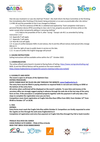





that she was involved in or saw she shall hail 'Protest'. She shall inform the Race Committee at the finishing line immediately after finishing of the boat/s being protested, or as soon as practicable after she retires.' 1.4 RRS 40 and the preamble to Part 4 are changed as follows:

1.4.1 The first sentence of RRS 40.1 is deleted and replaced by "Each competitor shall wear a personal flotation device (PFD) according to class rule 4.2 (a), properly secured at all times while on the water except when temporarily adding or removing clothing."

1.4.2 Add to the preamble of Part 4, after 'racing': "except rule 40.1 as amended by Sailing Instruction 1.4.1"

1.6 Appendix P will apply

1.7 Appendix T will apply.

1.8 Rule 90.3 (e) will apply

1.9 In case of conflict between NOR, SI and notices, the SI and the official notices shall prevail (this change RRS 63.7)

1.10 Give the right-of-way to public boats in service on the lake.

1.11 In case of conflict the English language will prevail

## **2. SAILING INSTRUCTIONS**

Sailing Instructions will be available online within the 12<sup>th</sup> October 2022.

#### **3. COMMUNICATION**

The online official notice board is located at Racing Rules of Sailing:<https://www.racingrulesofsailing.org/> NOR, SI and the Official Notices will be posted on the event website: <https://www.fragliavelariva.it/regate/5th-autumn-meeting-trofeo-ezio-torboli/>

#### **4. ELEGIBILITY AND ENTRY**

**The event is open to all boats of the Optimist Class ENTRIES PROCEDURE:**

**ENTRY FORMS MUST BE FILLED ON-LINE THROUGH THE WEBSITE[: www.fragliavelariva.it.](http://www.fragliavelariva.it/)**

**The entry form must be filled-in paying attention to required fields in red and sent clicking on SEND at the bottom of the entry form.** 

**All entries when confirmed will be displayed on the event's website. To save time and money at the secretary office we strongly suggest paying in advance through the web site at the last step of the entry form on-line. If the procedure is completed properly together with the payment it will only take a few steps to complete the registration once you are here.** 

**Competitors must check registration at Fraglia Vela Riva Race Office from 2022, from October 12 th from 09:00 to October 13th at 18.00.** 

**5. FEES**

**ENTRIES:** 

**Entry forms must reach the Fraglia Vela Riva within October 8. Competitors are kindly requested to enter the regatta on-line through the web www.fragliavelariva.it** 

**Completion of registration and entry fees payment at Fraglia Vela Riva through Pay Pall or bank transfer:** 

**FRAGLIA VELA RIVA DEL GARDA CASSA RURALE ALTO GARDA – Filiale di Riva d.Garda IBAN IT46T 08016 35320 000002300403** 









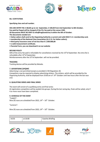





**Bic: CCRTIT2T04A** 

**Specifying class and sail number.** 

**ON-LINE ENTRY FEE: € 80,00 up to 1st September, € 100,00 from 2nd September to 8th October. Fee paid by Paypal will be charged of the 5%, fee paid at the venue 120€.** 

**All documents MUST BE SENT to info@fragliavelariva.it within the 8th of October.** 

**The documents needed are:** 

- **Italian sailors shall send to the Organizing Authority a current and valid 2022 F.I.V. membership card;**
- **membership of the National Class Association (A.I.C.O. for Italian sailors);**
- **third party insurance cover of not less than € 1.500.000,00**
- **a valid measurement certificate.**
- **Parental Form, you can download it on our website**

#### **REFUND POLICY**

50% of the entry fee paid is refundable for cancellations received by the 15<sup>th</sup>of September. No entry fee is refundable after 15<sup>th</sup>of September.

Reimbursements after the 15<sup>th</sup>of September. will not be provided.

#### **TRACKING**

Tracking devices will be provided by Meteda.

#### **7. ADVERTISING [DP][NP]**

Advertising is not permitted except as provided in WS Regulation 20.

Competitors may be required to display advertising stickers. The stickers, which will be provided by the Organizing Authority, shall be displayed from 10:00 am of 14<sup>th</sup> October until two hours after the last race end.

#### **8. QUALIFYING SERIES AND FINAL SERIES**

The event will consist of a qualifying series and final series

At registration competitors will be seeded into groups. During the last racing day, finals will be sailed, only if 4 or more races have been completed.

## **9. SCHEDULE OF THE EVENT**

"Cadetti": Nine (9) races are scheduled from 2022,  $14<sup>th</sup> - 16<sup>th</sup>$  October.

"Juniores":

Nine (9) races are scheduled from 2022,  $14<sup>th</sup> - 16<sup>th</sup>$  October.

| 14/10 | at 10:00 | <b>Coaches Briefing</b> |
|-------|----------|-------------------------|
|       |          |                         |









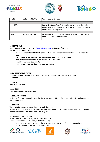





| 14/10        | at 13:00 (at 1:00 pm) | Warning signal 1st race                                                                                                                                             |  |  |  |
|--------------|-----------------------|---------------------------------------------------------------------------------------------------------------------------------------------------------------------|--|--|--|
|              |                       |                                                                                                                                                                     |  |  |  |
| $14 - 16/10$ |                       | Races - The time of the first warning signal of following racing<br>days will be shown on the Official Board within 20:00 of the day<br>before. Last warning 15:00. |  |  |  |
|              |                       |                                                                                                                                                                     |  |  |  |
| 16/10        | at 17:00 (at 5:00 pm) | Prize Giving (according to the race programme and anyway two<br>hours after the end of the last race)                                                               |  |  |  |

#### **REGISTRATIONS**

**All documents MUST BE SENT to** [info@fragliavelariva.it](mailto:info@fragliavelariva.it) **within the 8 th October. The documents needed are:**

- **Italian sailors shall send to the Organizing Authority a current and valid 2022 F.I.V. membership card;**
- **membership of the National Class Association (A.I.C.O. for Italian sailors);**
- **third party insurance cover of not less than € 1.500.000,00**
- **a valid measurement certificate.**
- **Parental Form, you can download it on our website**

## **10. EQUIPMENT INSPECTION**

All boats shall lodge a valid measurement certificate; Boats may be inspected at any time. **11. omissis**

## **12. VENUE**

North side Lake Garda

## **13. COURSE**

IODA international course will apply

#### **14. PENALTY SYSTEM**

Decisions of the international jury will be final as provided in RRS 70.5 and Appendix N. The right to appeal will be denied (RRS 70.5 C).

#### **15. SCORING**

The Low-Point scoring system will apply to both divisions.

To both divisions when 4 or more races have been completed, a boat's series score will be the total of her race scores excluding her worst score, including final.

## **16. SUPPORT PERSON VESSELS**

Team leaders/coaches shall register at Secretary Office.

Team leaders/coaches shall comply with the following:

- to follow all instructions given by the Race Committee and by the Organizing Committee;
- to carry other coaches on board if necessary;









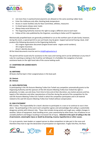





- not more than 2 coaches/trainers/parents are allowed on the same assisting rubber boat;
- Enter the clubhouse only after checking body temperature
- Access in nautic facilities only for Race Committee, athletes, measurers
- In closed spaces always wear masks
- Always keep social distance 1m
- The Organizing Authority reserves the right to assign a different area to each team
- Follow all the rules published by the Organizer, according to Italian and FIV regulations

Mechanically propelled boats are generally prohibited to run on the northern part of Lake Garda, however, during this event, a special permit to use such boats may be given. Support personnel having a boat, shall produce the following documents to the Organizing Authority:

- rib's engine registration document (engine brand name engine serial numbers);
- rib's engine insurance;
- driver's identity document

All the listed documents must be sent to [info@fragliavelariva.it](mailto:info@fragliavelariva.it)

The permit will be issued only for assistance to the races and training and it can be withdrawn at any time if rules for coaching as stating in the SI will be not followed. It is forbidden the navigation of private assistance boats on the right-hand side of the course looking south.

## **17. CHARTERED OR LOANED BOATS**

**Omissis**

## **18. BERTHING**

All boats shall be kept in their assigned places in the boat park

- **19. Omissis**
- **20. Omissis**

## **21. DATA PROTECTION**

In participating in the 5th Autumn Meeting Trofeo Ezio Torboli any competitor automatically grants to the Organizing Authority and the sponsors of the 5th Autumn Meeting Trofeo Ezio Torboli the right in perpetuity, to make, use and show, from time to time and at their discretion, any motion pictures and live, taped or film television and other reproductions of him/her during the period of the competition for the said 5th Autumn Meeting Trofeo Ezio Torboli in which the competitor participates and in all material related to the said 5th Autumn Meeting Trofeo Ezio Torboli without compensation.

## **22. RISK STATEMENT**

RRS 3 states: 'The responsibility for a boat's decision to participate in a race or to continue to race is hers alone.' By participating in this event each competitor agrees and acknowledges that sailing is a potentially dangerous activity with inherent risks. These risks include strong winds and rough seas, sudden changes in weather, failure of equipment, boat handling errors, poor seamanship by other boats, loss of balance on an unstable platform and fatigue resulting in increased risk of injury. **Inherent in the sport of sailing is the risk of permanent, catastrophic injury or death by drowning, trauma, hypothermia or other causes.**

It is up to parents, team leaders or support person to allow competitors to take part in the races and therefore they have to sign the declaration of participation on registration. Fraglia Vela Riva, the Race